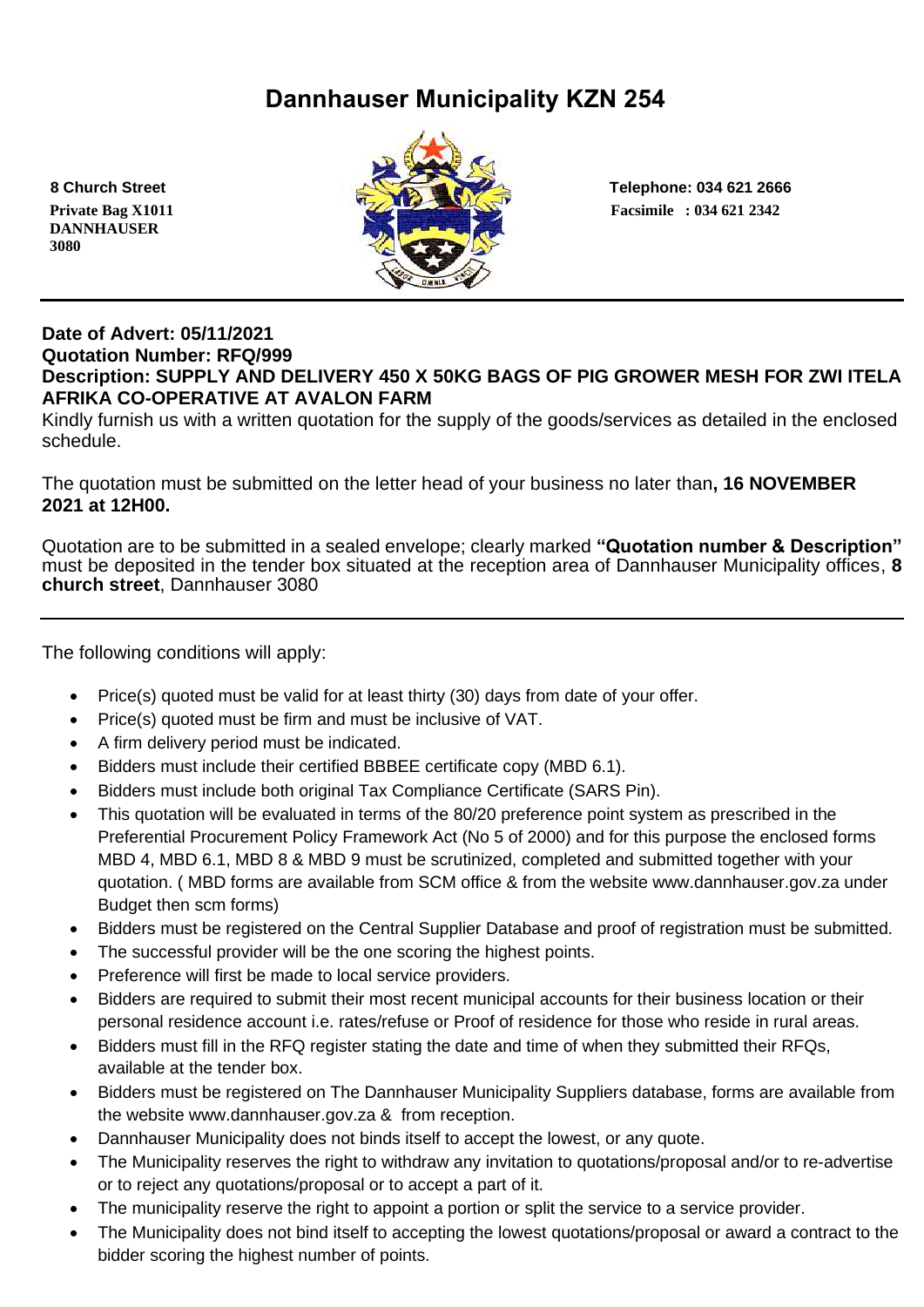# **Dannhauser Municipality KZN 254**

 **DANNHAUSER 3080** 



#### **Date of Advert: 05/11/2021 Quotation Number: RFQ/999 Description: SUPPLY AND DELIVERY 450 X 50KG BAGS OF PIG GROWER MESH FOR ZWI ITELA AFRIKA CO-OPERATIVE AT AVALON FARM**

Kindly furnish us with a written quotation for the supply of the goods/services as detailed in the enclosed schedule.

The quotation must be submitted on the letter head of your business no later than**, 16 NOVEMBER 2021 at 12H00.**

Quotation are to be submitted in a sealed envelope; clearly marked **"Quotation number & Description"** must be deposited in the tender box situated at the reception area of Dannhauser Municipality offices, **8 church street**, Dannhauser 3080

The following conditions will apply:

- Price(s) quoted must be valid for at least thirty (30) days from date of your offer.
- Price(s) quoted must be firm and must be inclusive of VAT.
- A firm delivery period must be indicated.
- Bidders must include their certified BBBEE certificate copy (MBD 6.1).
- Bidders must include both original Tax Compliance Certificate (SARS Pin).
- This quotation will be evaluated in terms of the 80/20 preference point system as prescribed in the Preferential Procurement Policy Framework Act (No 5 of 2000) and for this purpose the enclosed forms MBD 4, MBD 6.1, MBD 8 & MBD 9 must be scrutinized, completed and submitted together with your quotation. ( MBD forms are available from SCM office & from the website www.dannhauser.gov.za under Budget then scm forms)
- Bidders must be registered on the Central Supplier Database and proof of registration must be submitted.
- The successful provider will be the one scoring the highest points.
- Preference will first be made to local service providers.
- Bidders are required to submit their most recent municipal accounts for their business location or their personal residence account i.e. rates/refuse or Proof of residence for those who reside in rural areas.
- Bidders must fill in the RFQ register stating the date and time of when they submitted their RFQs, available at the tender box.
- Bidders must be registered on The Dannhauser Municipality Suppliers database, forms are available from the website www.dannhauser.gov.za & from reception.
- Dannhauser Municipality does not binds itself to accept the lowest, or any quote.
- The Municipality reserves the right to withdraw any invitation to quotations/proposal and/or to re-advertise or to reject any quotations/proposal or to accept a part of it.
- The municipality reserve the right to appoint a portion or split the service to a service provider.
- The Municipality does not bind itself to accepting the lowest quotations/proposal or award a contract to the bidder scoring the highest number of points.